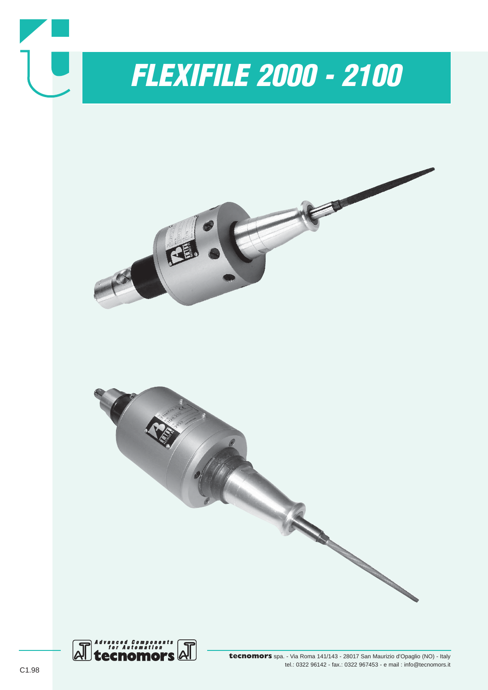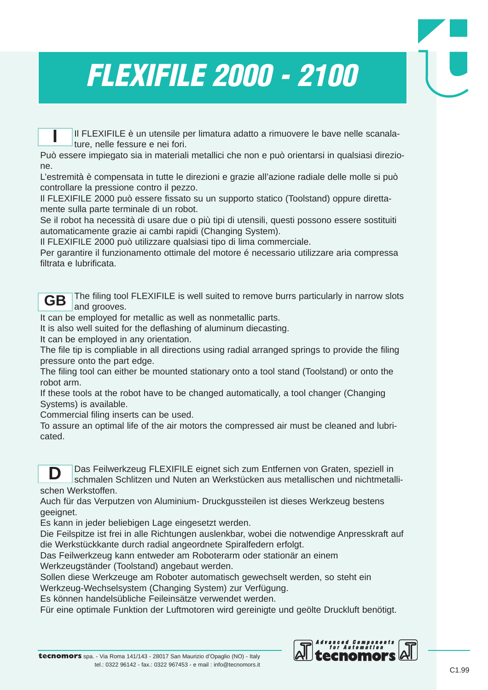# *FLEXIFILE 2000 - 2100*

Il FLEXIFILE è un utensile per limatura adatto a rimuovere le bave nelle scanalature, nelle fessure e nei fori. **I**

Può essere impiegato sia in materiali metallici che non e può orientarsi in qualsiasi direzione.

L'estremità è compensata in tutte le direzioni e grazie all'azione radiale delle molle si può controllare la pressione contro il pezzo.

Il FLEXIFILE 2000 può essere fissato su un supporto statico (Toolstand) oppure direttamente sulla parte terminale di un robot.

Se il robot ha necessità di usare due o più tipi di utensili, questi possono essere sostituiti automaticamente grazie ai cambi rapidi (Changing System).

Il FLEXIFILE 2000 può utilizzare qualsiasi tipo di lima commerciale.

Per garantire il funzionamento ottimale del motore é necessario utilizzare aria compressa filtrata e lubrificata.

The filing tool FLEXIFILE is well suited to remove burrs particularly in narrow slots and grooves. **GB**

It can be employed for metallic as well as nonmetallic parts.

It is also well suited for the deflashing of aluminum diecasting.

It can be employed in any orientation.

The file tip is compliable in all directions using radial arranged springs to provide the filing pressure onto the part edge.

The filing tool can either be mounted stationary onto a tool stand (Toolstand) or onto the robot arm.

If these tools at the robot have to be changed automatically, a tool changer (Changing Systems) is available.

Commercial filing inserts can be used.

To assure an optimal life of the air motors the compressed air must be cleaned and lubricated.



Das Feilwerkzeug FLEXIFILE eignet sich zum Entfernen von Graten, speziell in schmalen Schlitzen und Nuten an Werkstücken aus metallischen und nichtmetallischen Werkstoffen.

Auch für das Verputzen von Aluminium- Druckgussteilen ist dieses Werkzeug bestens geeignet.

Es kann in jeder beliebigen Lage eingesetzt werden.

Die Feilspitze ist frei in alle Richtungen auslenkbar, wobei die notwendige Anpresskraft auf die Werkstückkante durch radial angeordnete Spiralfedern erfolgt.

Das Feilwerkzeug kann entweder am Roboterarm oder stationär an einem

Werkzeugständer (Toolstand) angebaut werden.

Sollen diese Werkzeuge am Roboter automatisch gewechselt werden, so steht ein

Werkzeug-Wechselsystem (Changing System) zur Verfügung.

Es können handelsübliche Feileinsätze verwendet werden.

Für eine optimale Funktion der Luftmotoren wird gereinigte und geölte Druckluft benötigt.

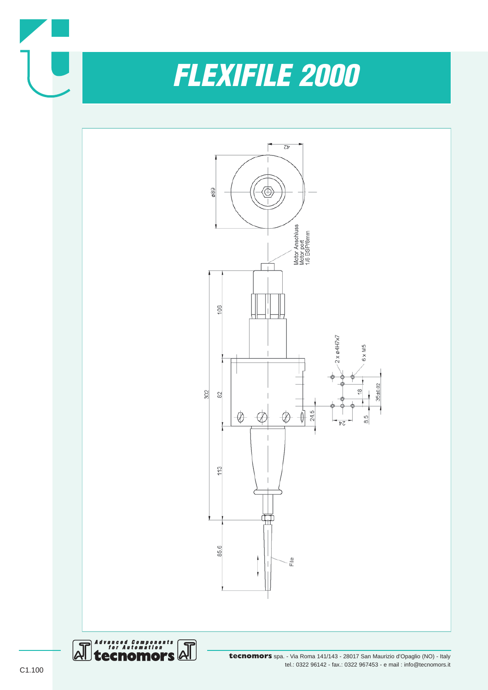

*FLEXIFILE 2000*





**tecnomors** spa. - Via Roma 141/143 - 28017 San Maurizio d'Opaglio (NO) - Italy tel.: 0322 96142 - fax.: 0322 967453 - e mail : info@tecnomors.it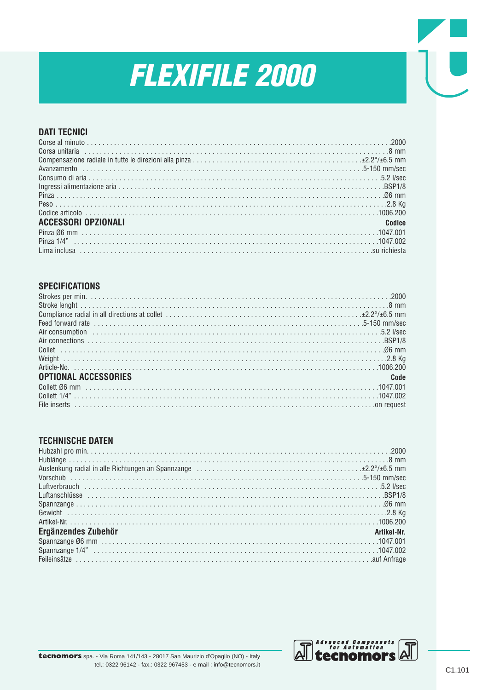# **FLEXIFILE 2000**

## **DATI TECNICI**

| <b>ACCESSORI OPZIONALI</b> | Codice |
|----------------------------|--------|
|                            |        |
|                            |        |
|                            |        |

#### **SPECIFICATIONS**

| <b>OPTIONAL ACCESSORIES</b> | Code |
|-----------------------------|------|
|                             |      |
|                             |      |
|                             |      |

#### **TECHNISCHE DATEN**

| Ergänzendes Zubehör | Artikel-Nr. |
|---------------------|-------------|
|                     |             |
|                     |             |
|                     |             |

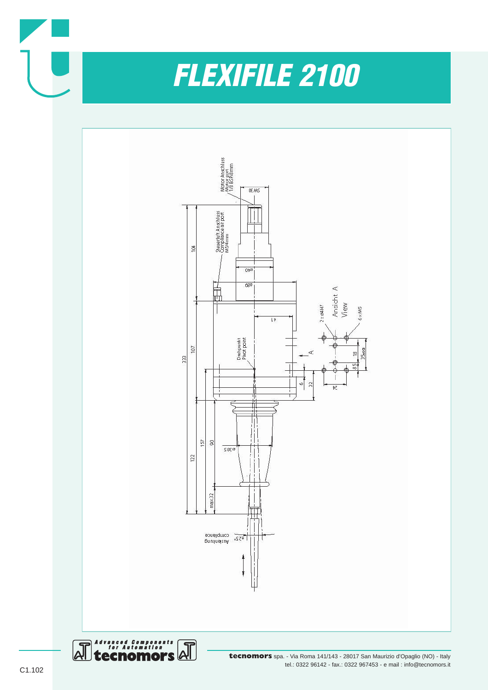

**tecnomors** spa. - Via Roma 141/143 - 28017 San Maurizio d'Opaglio (NO) - Italy tel.: 0322 96142 - fax.: 0322 967453 - e mail : info@tecnomors.it